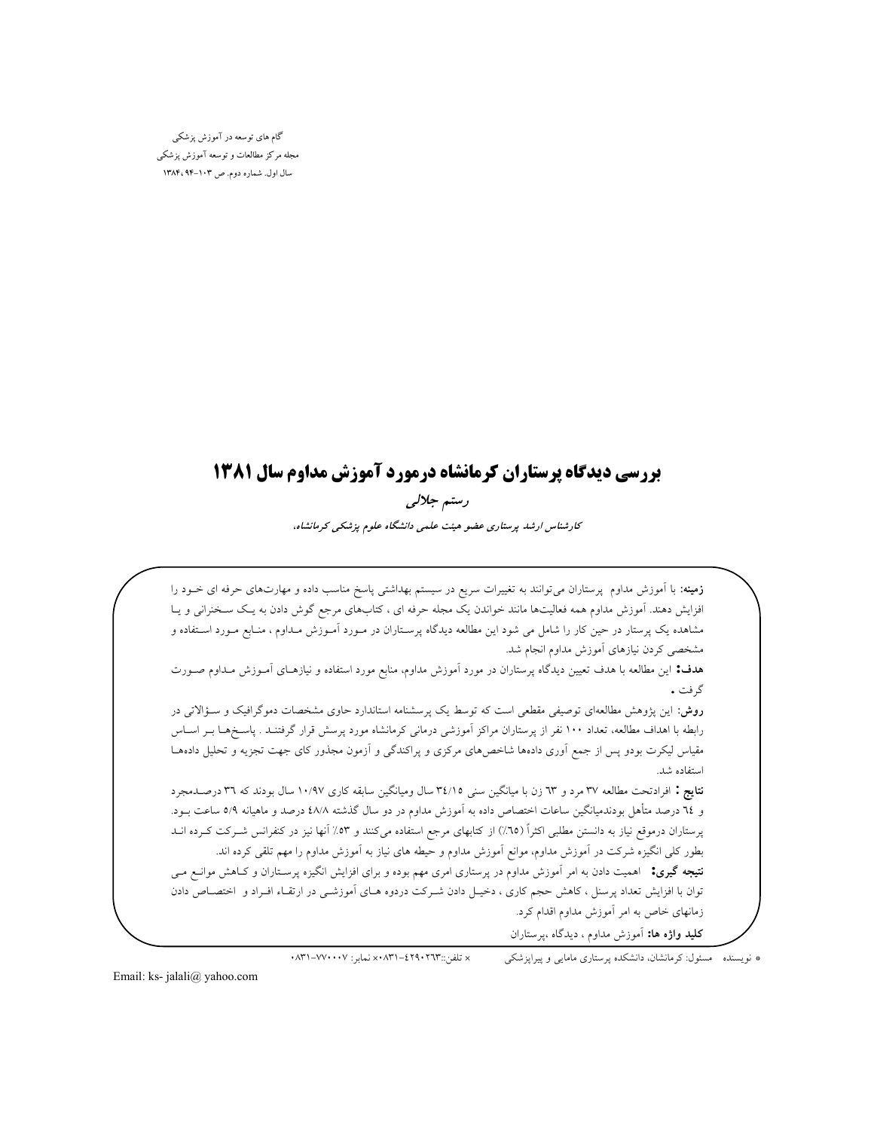گام های توسعه در آموزش یزشکی مجله مرکز مطالعات و توسعه آموزش پزشکی سال اول. شماره دوم. ص ١٠٣-١٣٨۴ ١٣٨٣

## بررسی دیدگاه پرستاران کرمانشاه درمورد آموزش مداوم سال ۱۳۸۱

رستم جلالی کارشناس ارشد پرستاری عضو هیئت علمی دانشگاه علوم پزشکی کرمانشاه،

**زمینه**: با اَموزش مداوم پرستاران می[وانند به تغییرات سریع در سیستم بهداشتی پاسخ مناسب داده و مهارتهای حرفه ای خــود را افزایش دهند. آموزش مداوم همه فعالیتها مانند خواندن یک مجله حرفه ای ، کتابهای مرجع گوش دادن به یـک سـخنرانی و یـا مشاهده یک پرستار در حین کار را شامل می شود این مطالعه دیدگاه پرسـتاران در مــورد اَمــوزش مــداوم ، منــابع مــورد اســتفاده و مشخصی کردن نیازهای آموزش مداوم انجام شد.

هدف: این مطالعه با هدف تعیین دیدگاه پرستاران در مورد آموزش مداوم، منابع مورد استفاده و نیازهـای آمـوزش مـداوم صـورت گر فت .

روش: این پژوهش مطالعهای توصیفی مقطعی است که توسط یک پرسشنامه استاندارد حاوی مشخصات دموگرافیک و سـؤالاتی در رابطه با اهداف مطالعه، تعداد ۱۰۰ نفر از پرستاران مراکز آموزشی درمانی کرمانشاه مورد پرسش قرار گرفتنـد . پاسـخهـا بــر اســاس مقیاس لیکرت بودو پس از جمع آوری دادهها شاخصهای مرکزی و پراکندگی و آزمون مجذور کای جهت تجزیه و تحلیل دادههـا استفاده شد.

نتايج : افرادتحت مطالعه ٣٧ مرد و ٦٣ زن با ميانگين سني ٣٤/١٥ سال وميانگين سابقه كاري ١٠/٩٧ سال بودند كه ٣٦ درصـدمجرد و ٦٤ درصد متأهل بودندميانگين ساعات اختصاص داده به آموزش مداوم در دو سال گذشته ٤٨/٨ درصد و ماهيانه ٥/٩ ساعت بــود. پرستاران درموقع نیاز به دانستن مطلبی اکثراً (٦٥٪) از کتابهای مرجع استفاده میکنند و ٥٣٪ آنها نیز در کنفرانس شـرکت کـرده انــد بطور کلی انگیزه شرکت در آموزش مداوم، موانع آموزش مداوم و حیطه های نیاز به آموزش مداوم را مهم تلقی کرده اند.

**نتیجه گیری:** اهمیت دادن به امر آموزش مداوم در پرستاری امری مهم بوده و برای افزایش انگیزه پرسـتاران و کــاهش موانــع مــی توان با افزایش تعداد پرسنل ، کاهش حجم کاری ، دخیـل دادن شـرکت دردوه هـای آموزشـی در ارتقـاء افـراد و اختصـاص دادن زمانهای خاص به امر آموزش مداوم اقدام کرد.

**کلید واژه ها:** آموزش مداوم ، دیدگاه ،پرستاران

× تلفن:: ١٢٦٣ - ٢٩٩ - ٢٦٨ - x نماير : ٧٧٠٠٠٧ - ٧٧٠ \* نویسنده مسئول:کرمانشان، دانشکده پرستاری مامایی و پیراپزشکی

Email: ks- jalali@ yahoo.com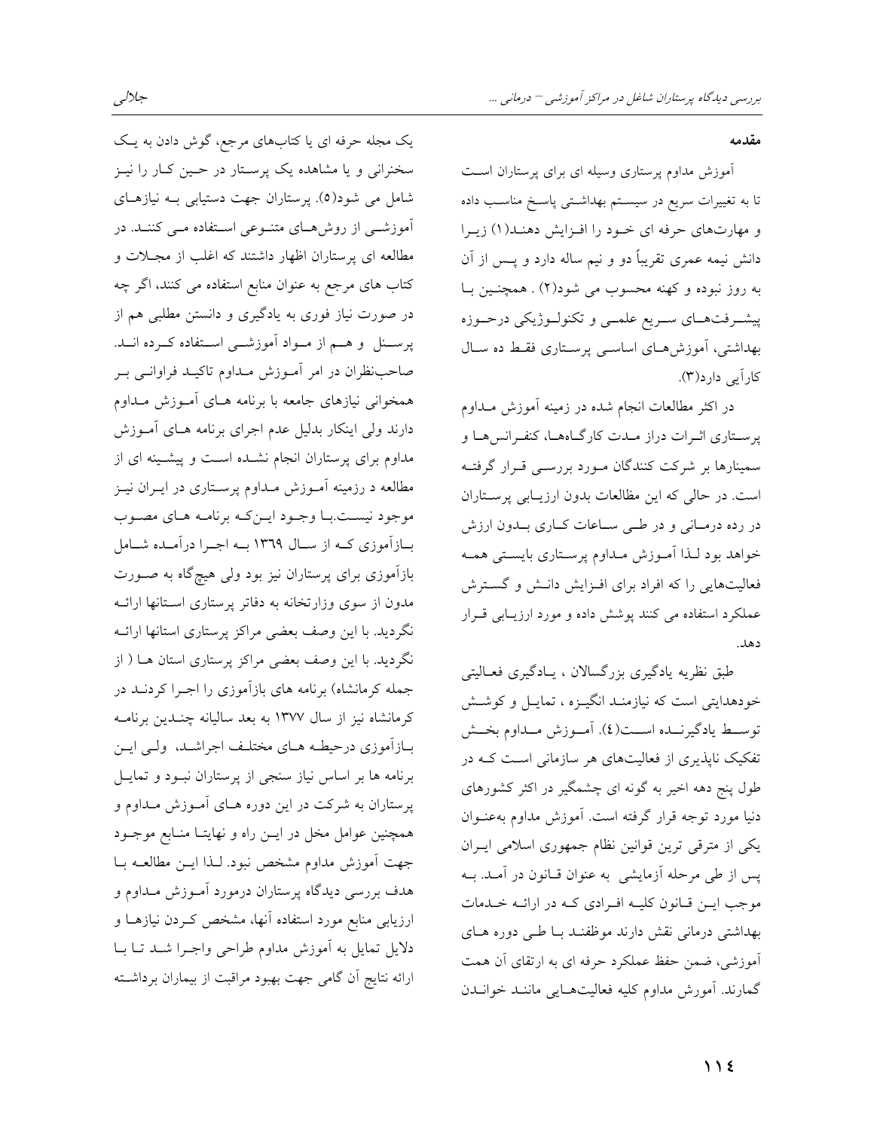آموزش مداوم پرستاری وسیله ای برای پرستاران است تا به تغییرات سریع در سیسـتم بهداشـتی پاسـخ مناسـب داده و مهارتهای حرفه ای خـود را افـزایش دهنـد(۱) زیـرا دانش نیمه عمری تقریباً دو و نیم ساله دارد و پــس از آن به روز نبوده و کهنه محسوب می شود(۲) . همچنـین بـا پیشـرفتهـاي سـريع علمـي و تكنولـوژيكي درحـوزه بهداشتی، آموزشهای اساسی پرستاری فقط ده سال کارآیی دارد(۳).

در اکثر مطالعات انجام شده در زمینه آموزش مـداوم پرستاری اثـرات دراز مـدت کارگـاههـا، کنفـرانسهـا و سمینارها بر شرکت کنندگان مـورد بررسـی قـرار گرفتـه است. در حالي كه اين مظالعات بدون ارزيـابي پرسـتاران در رده درمـانی و در طـی سـاعات کـاری بـدون ارزش خواهد بود لـذا أمـوزش مـداوم پرسـتاري بايسـتي همـه فعالیتهایی را که افراد برای افـزایش دانـش و گسـترش عملکرد استفاده می کنند یوشش داده و مورد ارزیبایی قبرار دهد.

طبق نظریه یادگیری بزرگسالان ، پادگیری فعـالیتی خودهدایتی است که نیازمنـد انگیـزه ، تمایـل و کوشـش توسـط يادگيرنــده اســت(٤). أمــوزش مــداوم بخــش تفکیک ناپذیری از فعالیتهای هر سازمانی است کـه در طول پنج دهه اخیر به گونه ای چشمگیر در اکثر کشورهای دنیا مورد توجه قرار گرفته است. آموزش مداوم بهعنـوان یکی از مترقی ترین قوانین نظام جمهوری اسلامی ایـران پس از طی مرحله آزمایشی به عنوان قـانون در آمـد. بــه موجب ایس قبانون کلیبه اف ادی کبه در ارائبه خیدمات بهداشتی درمانی نقش دارند موظفنـد بـا طـی دوره هـای آموزشی، ضمن حفظ عملکرد حرفه ای به ارتقای آن همت گمارند. آمورش مداوم کلیه فعالیتهـایی ماننـد خوانـدن

یک مجله حرفه ای یا کتابهای مرجع، گوش دادن به یک سخنرانی و یا مشاهده یک پرستار در حـین کـار را نیـز شامل می شود(٥). پرستاران جهت دستیابی بـه نیازهـای آموزش<sub>می</sub> از روشههای متنوعی استفاده مــی کننــد. در مطالعه ای پرستاران اظهار داشتند که اغلب از مجـلات و کتاب های مرجع به عنوان منابع استفاده می کنند، اگر چه در صورت نیاز فوری به یادگیری و دانستن مطلبی هم از پرسـنل و هــم از مــواد آموزشــی اســتفاده کــرده انــد. صاحب نظران در امر آمـوزش مـداوم تاكيـد فراوانـي بـر همخوانی نیازهای جامعه با برنامه هـای آمـوزش مـداوم دارند ولی اینکار بدلیل عدم اجرای برنامه هـای آمـوزش مداوم برای پرستاران انجام نشـده اسـت و پیشـینه ای از مطالعه د رزمینه آمـوزش مـداوم پرسـتاری در ایــران نیــز موجود نيست با وجـود ايـن كـه برنامـه هـاي مصـوب بازآموزی کـه از سـال ١٣٦٩ بـه اجـرا درآمـده شـامل بازآموزی برای پرستاران نیز بود ولی هیچگاه به صـورت مدون از سوی وزارتخانه به دفاتر پرستاری استانها ارائــه نگردید. با این وصف بعضی مراکز پرستاری استانها ارائــه نگردید. با این وصف بعضی مراکز پرستاری استان هـا ( از جمله کرمانشاه) برنامه های بازآموزی را اجـرا کردنــد در کرمانشاه نیز از سال ۱۳۷۷ به بعد سالیانه چنـدین برنامـه بـازاّموزي درحيطـه هـاي مختلـف اجراشـد، ولـي ايـن برنامه ها بر اساس نیاز سنجی از پرستاران نبود و تمایـل پرستاران به شرکت در این دوره هـای آمـوزش مـداوم و همچنین عوامل مخل در ایــن راه و نهایتــا منــابع موجــود جهت آموزش مداوم مشخص نبود. لـذا ايــن مطالعــه بــا هدف بررسی دیدگاه پرستاران درمورد آمـوزش مـداوم و ارزیابی منابع مورد استفاده آنها، مشخص کـردن نیازهـا و دلایل تمایل به آموزش مداوم طراحی واجـرا شـد تـا بـا ارائه نتایج اّن گامی جهت بهبود مراقبت از بیماران برداشــته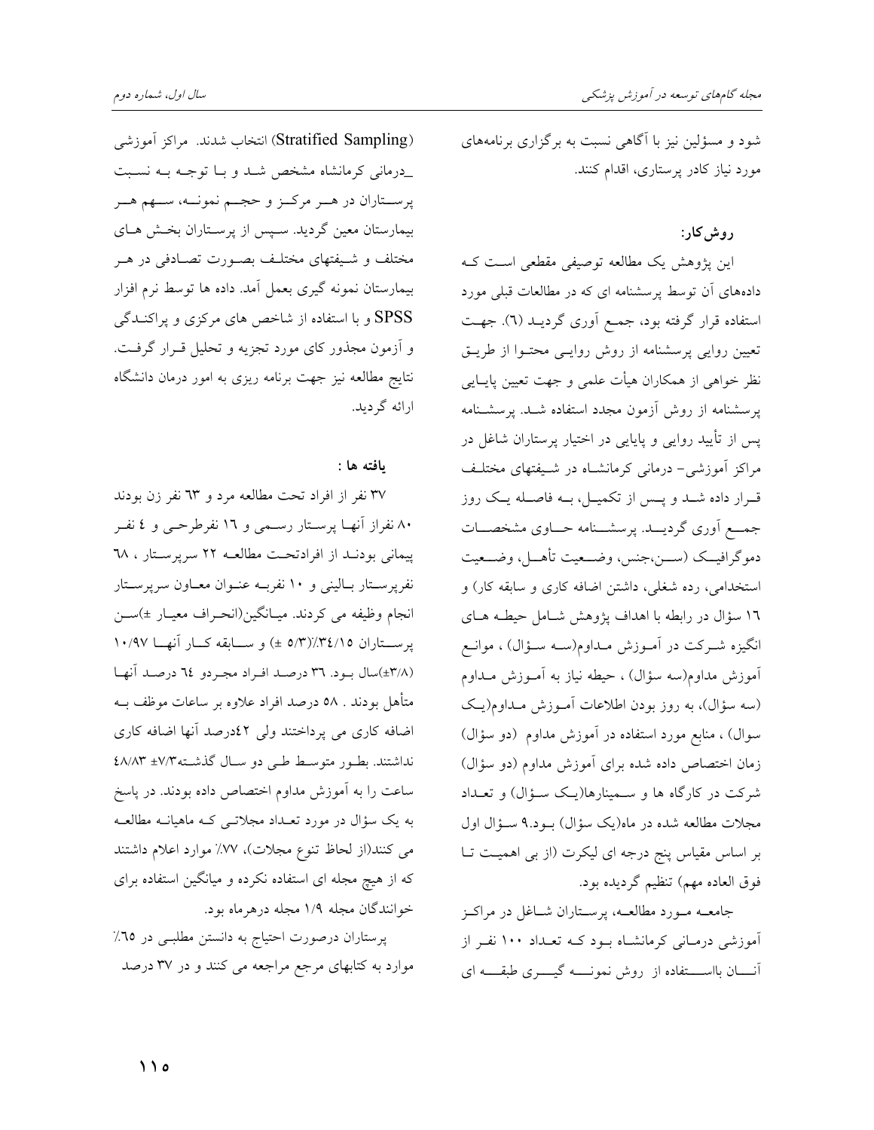شود و مسؤلین نیز با آگاهی نسبت به برگزاری برنامههای مورد نیاز کادر پرستاری، اقدام کنند.

## روش کار:

این پژوهش یک مطالعه توصیفی مقطعی است ک دادههای آن توسط پرسشنامه ای که در مطالعات قبلی مورد استفاده قرار گرفته بود، جمع آوری گردیـد (٦). جهـت تعیین روایی پرسشنامه از روش روایـی محتـوا از طریـق نظر خواهی از همکاران هیأت علمی و جهت تعیین پایــایی پرسشنامه از روش آزمون مجدد استفاده شـد. پرسشـنامه یس از تأیید روایی و پایایی در اختیار پرستاران شاغل در مراکز آموزشی- درمانی کرمانشـاه در شـیفتهای مختلـف قـرار داده شــد و پــس از تکمیــل، بــه فاصــله یــک روز جمــع آوري گرديـــد. پرسشـــنامه حـــاوي مشخصـــات دموگرافيــک (ســـن،جنس، وضـــعيت تأهـــل، وضـــعيت استخدامی، رده شغلی، داشتن اضافه کاری و سابقه کار) و ۱٦ سؤال در رابطه با اهداف پژوهش شـامل حیطـه هـای انگیزه شـرکت در آمـوزش مـداوم(سـه سـؤال) ، موانـع آموزش مداوم(سه سؤال) ، حیطه نیاز به آمـوزش مـداوم (سه سؤال)، به روز بودن اطلاعات آمـوزش مـداوم(يـك سوال) ، منابع مورد استفاده در آموزش مداوم (دو سؤال) زمان اختصاص داده شده برای آموزش مداوم (دو سؤال) شرکت در کارگاه ها و سمینارها(یک سـؤال) و تعـداد مجلات مطالعه شده در ماه(یک سؤال) بود.۹ سـؤال اول بر اساس مقیاس پنج درجه ای لیکرت (از بی اهمیت تـا فوق العاده مهم) تنظيم گرديده بود.

جامعــه مــورد مطالعــه، پرســتاران شــاغل در مراكــز آموزشی درمانی کرمانشاه بود کـه تعـداد ۱۰۰ نفـر از أنسان بااستخاده از روش نمونـــه گیــــری طبقـــه ای

(Stratified Sampling) انتخاب شدند. مراكز آموزشي درمانی کرمانشاه مشخص شد و بـا توجـه بـه نسـبت پرســتاران در هــر مركــز و حجــم نمونــه، ســهم هــر بیمارستان معین گردید. سـپس از پرسـتاران بخـش هـای مختلف و شـیفتهای مختلـف بصـورت تصـادفی در هـر بیمارستان نمونه گیری بعمل آمد. داده ها توسط نرم افزار SPSS و با استفاده از شاخص های مرکزی و پراکنــدگی و آزمون مجذور کای مورد تجزیه و تحلیل قـرار گرفـت. نتایج مطالعه نیز جهت برنامه ریزی به امور درمان دانشگاه ارائه گرديد.

## ىافتە ھا :

۳۷ نفر از افراد تحت مطالعه مرد و ٦٣ نفر زن بودند ۸۰ نفراز آنها پرستار رسمی و ۱۲ نفرطرحمی و ٤ نفـر پیمانی بودنـد از افرادتحـت مطالعـه ٢٢ سرپرسـتار ، ٦٨ نفرپرستار بالینی و ۱۰ نفربه عنوان معاون سرپرستار انجام وظيفه مي كردند. ميـانگين(انحـراف معيـار ±)ســن یرستاران ۵/۳)/(۵/۳ ±) و سابقه کــار آنهــا ۱۰/۹۷ (٣/٨±)سال بود. ٣٦ درصد افراد مجردو ٢٤ درصد أنها متأهل بودند . ٥٨ درصد افراد علاوه بر ساعات موظف بــه اضافه کاری می پرداختند ولی ٤٢درصد آنها اضافه کاری نداشتند. بطور متوسط طبي دو سال گذشته ٤٨/٨٣ ٤٨/٨٣ ساعت را به آموزش مداوم اختصاص داده بودند. در پاسخ به یک سؤال در مورد تعـداد مجلاتـبی کـه ماهیانــه مطالعــه می کنند(از لحاظ تنوع مجلات)، ۷۷٪ موارد اعلام داشتند که از هیچ مجله ای استفاده نکرده و میانگین استفاده برای خوانندگان مجله ۱/۹ مجله درهرماه بود.

پرستاران درصورت احتیاج به دانستن مطلبـی در ٦٥٪ موارد به کتابهای مرجع مراجعه می کنند و در ۳۷ درصد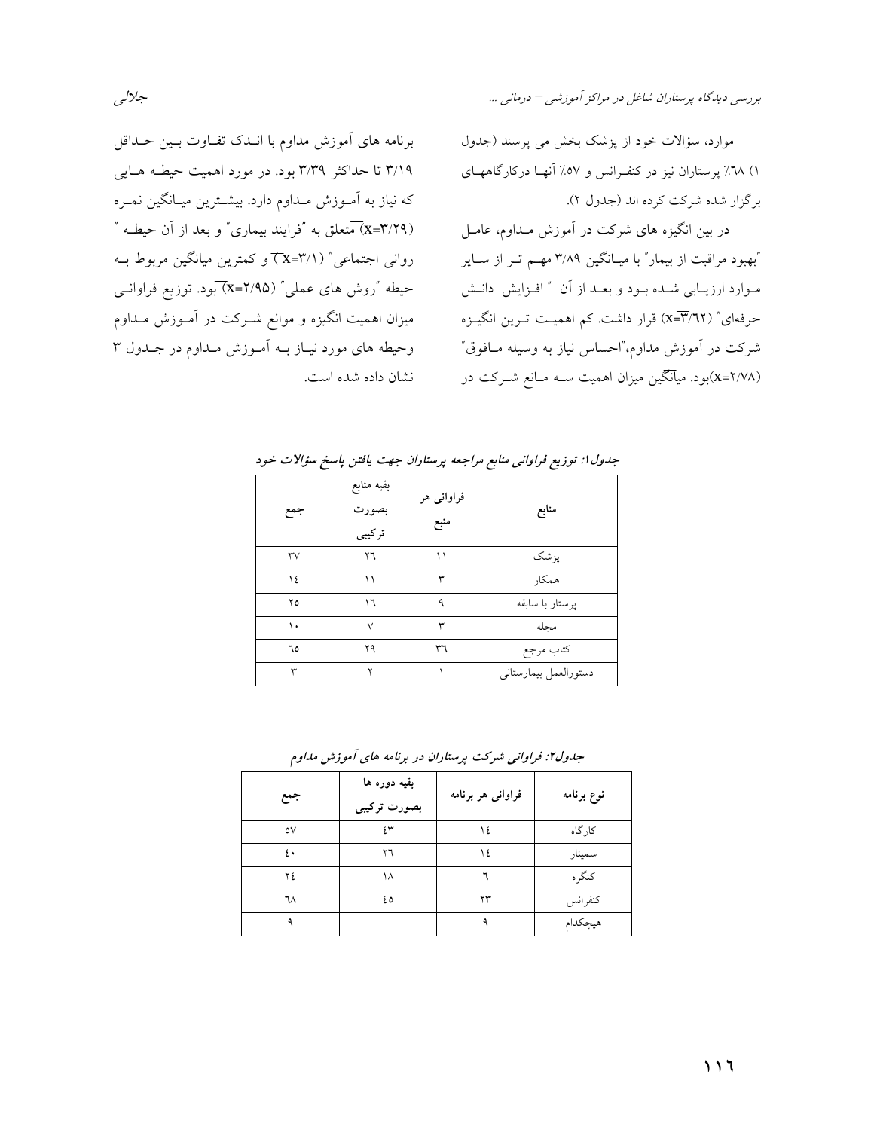موارد، سؤالات خود از یزشک بخش می پرسند (جدول ۱) ٦٨٪ پرستاران نیز در کنفرانس و ٥٧٪ آنهـا درکارگاههـای برگزار شده شرکت کرده اند (جدول ۲).

در بین انگیزه های شرکت در آموزش مـداوم، عامـل "بهبود مراقبت از بیمار" با میـانگین ۳/۸۹ مهـم تـر از ســایر مـوارد ارزيــابي شــده بــود و بعــد از آن ″ افــزايش دانــش حرفهای" (X=T/٦٢) قرار داشت. کم اهمیـت تـرین انگیــزه شرکت در آموزش مداوم،"احساس نیاز به وسیله مـافوق" (۲/۷۸=x)بود. میآنگین میزان اهمیت سـه مـانع شــرکت در

برنامه های آموزش مداوم با انـدک تفـاوت بـين حـداقل ۳/۱۹ تا حداکثر ۳/۳۹ بود. در مورد اهمیت حیطـه هـایی که نیاز به آمـوزش مـداوم دارد. بیشـترین میـانگین نمـره (x=٣/٢٩) متعلق به "فرایند بیماری" و بعد از آن حیطـه " روانی اجتماعی" ( ۲/۱=۲x) و کمترین میانگین مربوط بـه حیطه "روش های عملی" (۲/۹۵–X)بود. توزیع فراوانسی میزان اهمیت انگیزه و موانع شــرکت در آمــوزش مــداوم وحیطه های مورد نیاز بـه آمـوزش مـداوم در جـدول ۳ نشان داده شده است.

| جمع           | بقيه منابع<br>بصورت<br>ترکیبی | فراواني هر<br>منبع | منابع                 |
|---------------|-------------------------------|--------------------|-----------------------|
| $\mathsf{rv}$ | ٢٦                            | ۱۱                 | پزشک                  |
| ١٤            | ۱۱                            | ٣                  | همكار                 |
| ۲٥            | ۱٦                            | ٥                  | یوستار با سابقه       |
| ۱.            | $\checkmark$                  | ٣                  | مجله                  |
| ٦٥            | ۲۹                            | ٣٦                 | كتاب مرجع             |
| ٣             | ۲                             |                    | دستورالعمل بيمارستاني |

جدول ۱: توزیع فراوانی منابع مراجعه پرستاران جهت یافتن پاسخ سؤالات خود

جدول۲: فراوانی شرکت پرستاران در برنامه های آموزش مداوم

| جمع | بقيه دوره ها<br>بصورت ترکیبی | فراوانی هر برنامه | نوع برنامه |
|-----|------------------------------|-------------------|------------|
| ٥V  | ٤٣                           | ١٤                | کار گاه    |
| ٤٠  | ٢٦                           | ١٤                | سمينار     |
| ۲٤  | ۱۸                           |                   | كنگره      |
| ٦٨  | ٤٥                           | ۲۳                | كنفرانس    |
|     |                              |                   | هيچكدام    |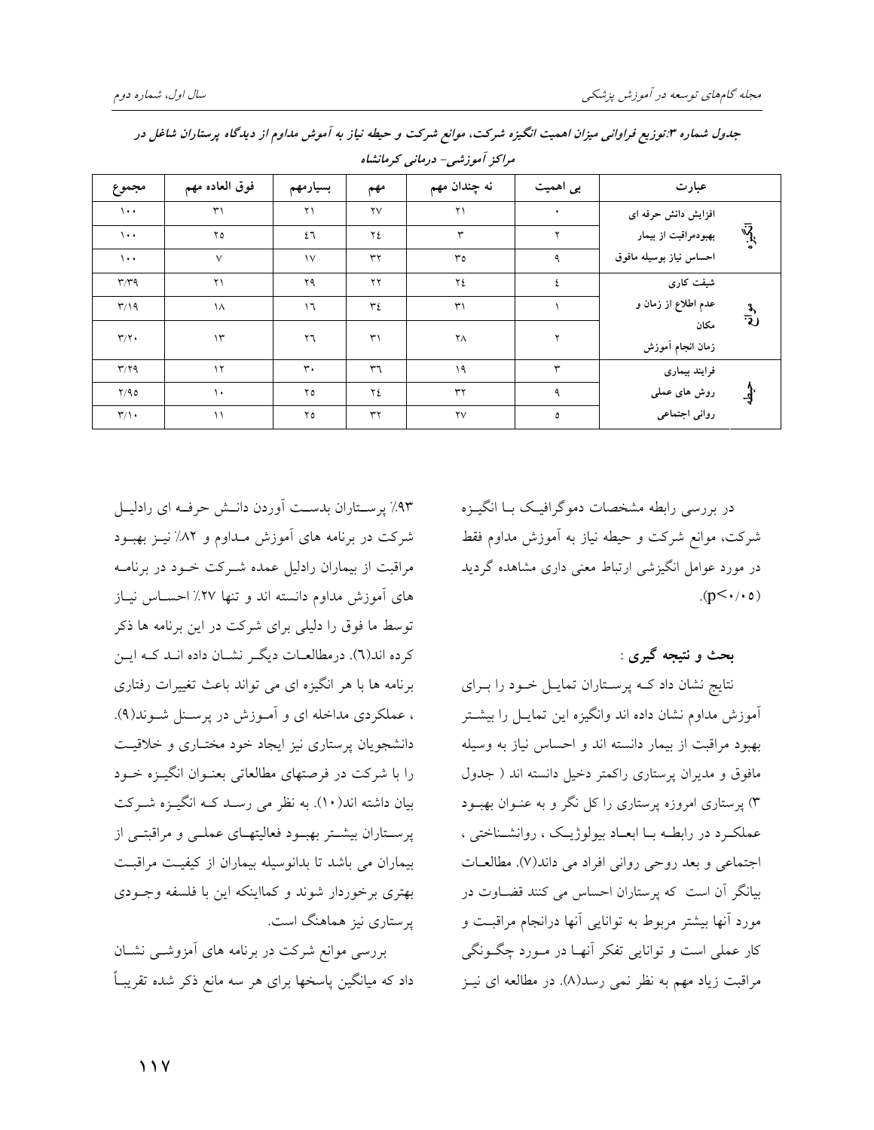| مراکز آموزشی- درمانی کرمانشاه     |                |                |                |                        |           |                          |                |  |  |  |
|-----------------------------------|----------------|----------------|----------------|------------------------|-----------|--------------------------|----------------|--|--|--|
| مجموع                             | فوق العاده مهم | بسيارمهم       | مهم            | نه چندان مهم           | بی اهمیت  | عبارت                    |                |  |  |  |
| $\lambda \cdot \cdot$             | $\mathsf{r}_1$ | ۲۱             | $\mathsf{rv}$  | $\mathsf{r}\mathsf{1}$ | $\bullet$ | افزایش دانش حرفه ای      |                |  |  |  |
| $\lambda$ .                       | ۲٥             | ٤٦             | ٢٤             | ٣                      | ۲         | بهبودمراقبت از بیمار     | $\bar{W}$      |  |  |  |
| $\lambda \cdot \cdot$             | $\vee$         | $\mathcal{N}$  | ٣٢             | ٣٥                     | ٩         | احساس نياز بوسيله مافوق  |                |  |  |  |
| $\mathbf{r}/\mathbf{r}$           | ۲۱             | ۲۹             | ۲۲             | ٢٤                     | ٤         | شیفت کاری                |                |  |  |  |
| $\mathsf{r}/\mathsf{1}\mathsf{q}$ | $\lambda$      | $\mathcal{L}$  | ٣٤             | $\mathsf{r}_1$         |           | عدم اطلاع از زمان و      | $-\frac{3}{2}$ |  |  |  |
| $\Upsilon/\Upsilon$               | $\gamma$       | ٢٦             | $\mathsf{r}_1$ | ٢Λ                     | ۲         | مكان<br>زمان انجام أموزش |                |  |  |  |
| $\mathbf{r}/\mathbf{r}$           | $\gamma$       | $\mathbf{r}$ . | ٣٦             | ۱۹                     | ٣         | فرايند بيمارى            |                |  |  |  |
| Y/90                              | $\lambda$      | ۲٥             | ٢٤             | ٣٢                     | ٩         | روش های عملی             |                |  |  |  |
| $\Upsilon/\Upsilon$               | $\setminus$    | ۲٥             | ٣٢             | $\mathsf{Y}\mathsf{V}$ | ٥         | روانی اجتماعی            |                |  |  |  |

جدول شماره ۳:توزیع فراوانی میزان اهمیت انگیزه شرکت، موانع شرکت و حیطه نیاز به آموش مداوم از دیدگاه پرستاران شاغل در

در بررسی رابطه مشخصات دموگرافیک بــا انگیــزه شرکت، موانع شرکت و حیطه نیاز به آموزش مداوم فقط در مورد عوامل انگیزشی ارتباط معنی داری مشاهده گردید  $(p<\cdot/\cdot o)$ 

بحث و نتیجه گیری :

نتایج نشان داد کـه پرسـتاران تمایـل خـود را بـرای آموزش مداوم نشان داده اند وانگیزه این تمایـل را بیشـتر بهبود مراقبت از بیمار دانسته اند و احساس نیاز به وسیله مافوق و مدیران پرستاری راکمتر دخیل دانسته اند ( جدول ۳) پرستاری امروزه پرستاری را کل نگر و به عنـوان بهبــود عملکرد در رابطـه بـا ابعـاد بيولوژيـک ، روانشـناختى ، اجتماعی و بعد روحی روانی افراد می داند(۷). مطالعـات بیانگر آن است که پرستاران احساس می کنند قضـاوت در مورد آنها بیشتر مربوط به توانایی آنها درانجام مراقبت و کار عملي است و توانايي تفکر آنهـا در مـورد چگـونگي مراقبت زیاد مهم به نظر نمی رسد(۸). در مطالعه ای نیـز

۹۳٪ پرستاران بدست آوردن دانـش حرفـه ای رادلیـل شرکت در برنامه های آموزش مـداوم و ۸۲٪ نیـز بهبـود مراقبت از بیماران رادلیل عمده شـرکت خـود در برنامـه های آموزش مداوم دانسته اند و تنها ۲۷٪ احســاس نیــاز توسط ما فوق را دلیلی برای شرکت در این برنامه ها ذکر كرده اند(٦). درمطالعـات ديگـر نشـان داده انـد كـه ايـن برنامه ها با هر انگیزه ای می تواند باعث تغییرات رفتاری ، عملکردی مداخله ای و آمـوزش در پرسـنل شـوند(۹). دانشجویان پرستاری نیز ایجاد خود مختـاری و خلاقیـت را با شرکت در فرصتهای مطالعاتی بعنـوان انگیـزه خـود بیان داشته اند(۱۰). به نظر می رسـد کـه انگیــزه شــرکت پرسـتاران بیشـتر بهبـود فعالیتهـای عملــی و مراقبتــی از بیماران می باشد تا بدانوسیله بیماران از کیفیت مراقبت بهتري برخوردار شوند و كمااينكه اين با فلسفه وجـودي پرستاری نیز هماهنگ است.

بررسی موانع شرکت در برنامه های آمزوشـی نشـان داد که میانگین پاسخها برای هر سه مانع ذکر شده تقریبـاً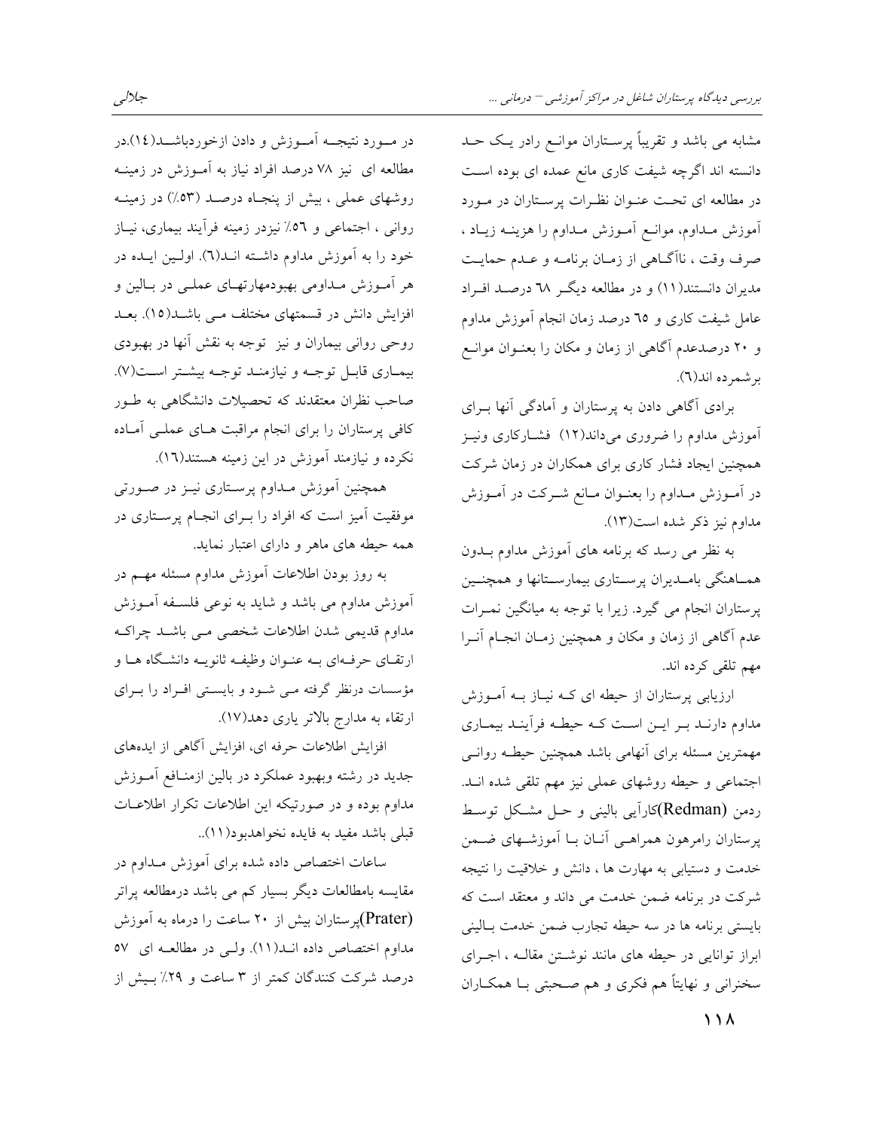مشابه می باشد و تقریباً پرسـتاران موانــع رادر یــک حــد دانسته اند اگرچه شیفت کاری مانع عمده ای بوده است در مطالعه ای تحـت عنـوان نظـرات پرسـتاران در مـورد أموزش مـداوم، موانـع أمـوزش مـداوم را هزينــه زيــاد ، صرف وقت ، ناآگ&مي از زمـان برنامـه و عـدم حمايـت مدیران دانستند(۱۱) و در مطالعه دیگر ٦٨ درصـد افـراد عامل شیفت کاری و ٦٥ درصد زمان انجام آموزش مداوم و ۲۰ درصدعدم آگاهی از زمان و مکان را بعنـوان موانـع بر شمر ده اند(٦).

برادی آگاهی دادن به پرستاران و آمادگی آنها بـرای آموزش مداوم را ضروری میداند(۱۲) فشـارکاری ونیـز همچنین ایجاد فشار کاری برای همکاران در زمان شرکت در آمـوزش مـداوم را بعنـوان مـانع شـرکت در آمـوزش مداوم نيز ذكر شده است(١٣).

به نظر می رسد که برنامه های آموزش مداوم بـدون همـاهنگي بامـديران پرسـتاري بيمارسـتانها و همچنـين پرستاران انجام می گیرد. زیرا با توجه به میانگین نمـرات عدم آگاهی از زمان و مکان و همچنین زمـان انجـام آنــرا مهم تلقى كرده اند.

ارزیابی پرستاران از حیطه ای کـه نیـاز بــه آمــوزش مداوم دارنـد بـر ايـن اسـت كـه حيطـه فرأينـد بيمـاري مهمترین مسئله برای آنهامی باشد همچنین حیطـه روانــی اجتماعی و حیطه روشهای عملی نیز مهم تلقی شده انــد. ردمن (Redman)کارآیی بالینی و حـل مشـکل توسـط پرستاران رامرهون همراهـی آنــان بــا آموزشــهای ضــمن خدمت و دستیابی به مهارت ها ، دانش و خلاقیت را نتیجه شرکت در برنامه ضمن خدمت می داند و معتقد است که بایستی برنامه ها در سه حیطه تجارب ضمن خدمت بــالینی ابراز توانایی در حیطه های مانند نوشتن مقالـه ، اجـرای سخنرانی و نهایتاً هم فکری و هم صـحبتی بـا همکــاران

در مــورد نتيجــه آمــوزش و دادن ازخوردباشــد(١٤).در مطالعه ای نیز ۷۸ درصد افراد نیاز به آمـوزش در زمینــه روشهای عملی ، بیش از پنجـاه درصـد (۵۳٪) در زمینــه روانی ، اجتماعی و ٥٦٪ نیزدر زمینه فرأیند بیماری، نیـاز خود را به آموزش مداوم داشته انـد(٦). اولـين ايـده در هر آمـوزش مـداومی بهبودمهارتهـای عملـی در بـالین و افزایش دانش در قسمتهای مختلف مـی باشـد(١٥). بعـد روحی روانی بیماران و نیز توجه به نقش آنها در بهبودی بيمـاري قابـل توجـه و نيازمنـد توجـه بيشـتر اسـت(٧). صاحب نظران معتقدند که تحصیلات دانشگاهی به طــور کافی پرستاران را برای انجام مراقبت هـای عملـی آمـاده نکرده و نیازمند آموزش در این زمینه هستند(١٦).

همچنین آموزش مـداوم پرسـتاری نیــز در صــورتی موفقیت آمیز است که افراد را بـرای انجـام پرسـتاری در همه حیطه های ماهر و دارای اعتبار نماید.

به روز بودن اطلاعات آموزش مداوم مسئله مهــم در آموزش مداوم می باشد و شاید به نوعی فلسـفه آمـوزش مداوم قدیمی شدن اطلاعات شخصی مـی باشـد چراکـه ارتقـای حرفـهای بــه عنــوان وظیفــه ثانویــه دانشــگاه هــا و مؤسسات درنظر گرفته مـی شـود و بایسـتی افـراد را بـرای ارتقاء به مدارج بالاتر ياري دهد(١٧).

افزایش اطلاعات حرفه ای، افزایش آگاهی از ایدههای جدید در رشته وبهبود عملکرد در بالین ازمنـافع آمــوزش مداوم بوده و در صورتیکه این اطلاعات تکرار اطلاعـات قبلي باشد مفيد به فايده نخواهدبود(١١)..

ساعات اختصاص داده شده برای آموزش مـداوم در مقایسه بامطالعات دیگر بسیار کم می باشد درمطالعه پراتر (Prater)پرستاران بیش از ۲۰ ساعت را درماه به آموزش مداوم اختصاص داده انـد(١١). ولـي در مطالعـه اي ٥٧ درصد شرکت کنندگان کمتر از ۳ ساعت و ۲۹٪ بـیش از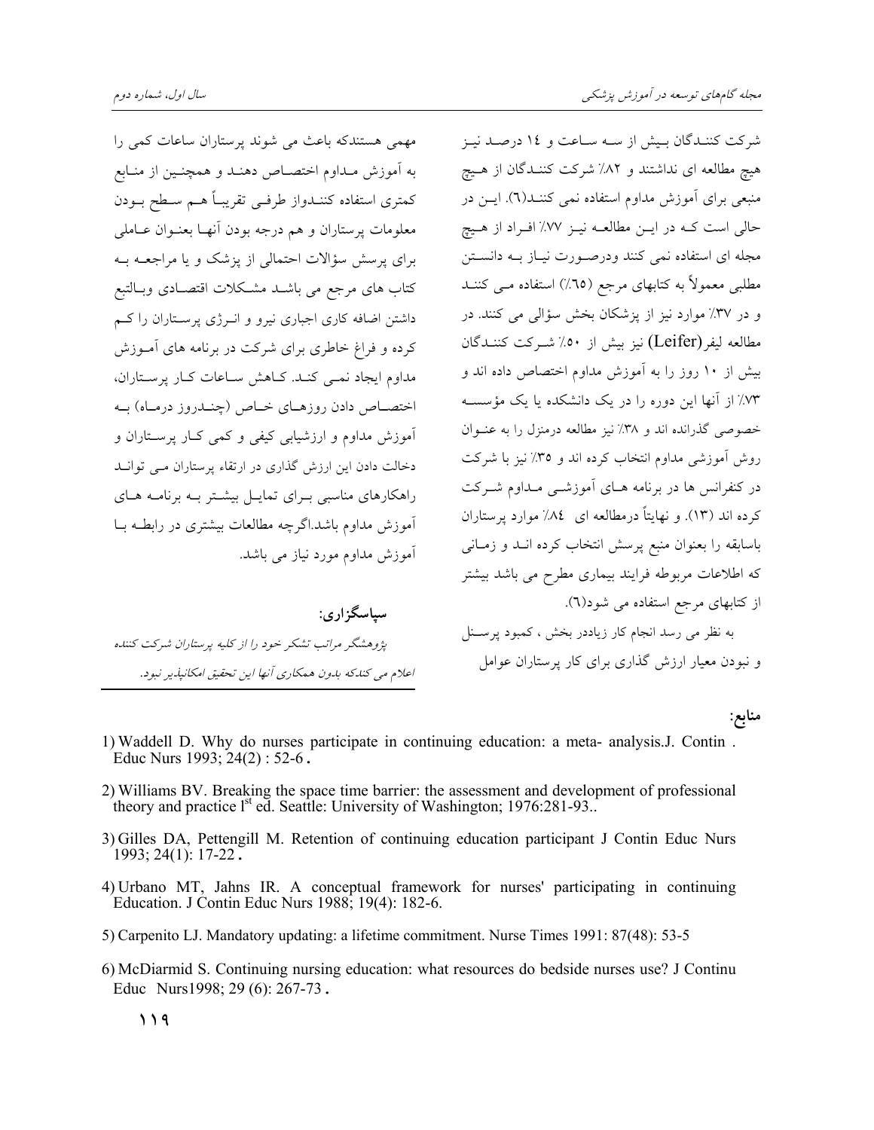مهمی هستندکه باعث می شوند پرستاران ساعات کمی را به آموزش مـداوم اختصـاص دهنـد و همچنـین از منـابع كمترى استفاده كننــدواز طرفــي تقريبــاً هــم ســطح بــودن معلومات پرستاران و هم درجه بودن آنهـا بعنـوان عـاملي برای پرسش سؤالات احتمالی از پزشک و یا مراجعـه بـه كتاب هاي مرجع مي باشـد مشـكلات اقتصـادي وبـالتبع داشتن اضافه کاری اجباری نیرو و انــرژی پرســتاران را کــم کرده و فراغ خاطری برای شرکت در برنامه های آمـوزش مداوم ایجاد نمبی کنـد. کـاهش سـاعات کـار پرسـتاران، اختصاص دادن روزهـاي خـاص (چنـدروز درمـاه) بـه آموزش مداوم و ارزشیابی کیفی و کمی کبار پرستاران و دخالت دادن این ارزش گذاری در ارتقاء پرستاران مبی توانید راهکارهای مناسبی بـرای تمایـل بیشـتر بـه برنامـه هـای آموزش مداوم باشد.اگرچه مطالعات بیشتری در رابطـه بـا آموزش مداوم مورد نیاز می باشد.

سياسگزاري: پژوهشگر مراتب تشکر خود را از کلیه پرستاران شرکت کننده اعلام می کندکه بدون همکاری آنها این تحقیق امکانپذیر نبود.

شرکت کننـدگان بـیش از سـه سـاعت و ۱٤ درصـد نیـز هیچ مطالعه ای نداشتند و ۸۲٪ شرکت کننـدگان از هـیچ منبعی برای آموزش مداوم استفاده نمی کننـد(٦). ایــن در حالي است كــه در ايــن مطالعــه نيــز ٧٧٪ افــراد از هــيچ مجله ای استفاده نمی کنند ودرصورت نیـاز بـه دانسـتن مطلبی معمولاً به کتابهای مرجع (٦٥٪) استفاده مــی کننــد و در ٣٧٪ موارد نيز از پزشكان بخش سؤالي مي كنند. در مطالعه ليفر(Leifer) نيز بيش از ٥٠٪ شــركت كننــدگان بیش از ۱۰ روز را به آموزش مداوم اختصاص داده اند و ۷۳٪ از آنها این دوره را در یک دانشکده یا یک مؤسسه خصوصی گذرانده اند و ۳۸٪ نیز مطالعه درمنزل را به عنوان روش آموزشی مداوم انتخاب کرده اند و ٣٥٪ نیز با شرکت در کنفرانس ها در برنامه هـای آموزشــی مـداوم شــرکت کرده اند (۱۳). و نهایتاً درمطالعه ای ۸۷٪ موارد پرستاران باسابقه را بعنوان منبع پرسش انتخاب كرده انبد و زمـانى که اطلاعات مربوطه فرایند بیماری مطرح می باشد بیشتر از کتابهای مرجع استفاده می شود(٦). به نظر می رسد انجام کار زیاددر بخش ، کمبود پرسـنل و نبودن معیار ارزش گذاری برای کار پرستاران عوامل

منابع:

- 1) Waddell D. Why do nurses participate in continuing education: a meta- analysis.J. Contin. Educ Nurs 1993;  $24(2)$ : 52-6.
- 2) Williams BV. Breaking the space time barrier: the assessment and development of professional theory and practice l<sup>st</sup> ed. Seattle: University of Washington; 1976:281-93..
- 3) Gilles DA, Pettengill M. Retention of continuing education participant J Contin Educ Nurs  $1993; 24(1): 17-22$ .
- 4) Urbano MT, Jahns IR. A conceptual framework for nurses' participating in continuing Education. J Contin Educ Nurs 1988; 19(4): 182-6.
- 5) Carpenito LJ. Mandatory updating: a lifetime commitment. Nurse Times 1991: 87(48): 53-5
- 6) McDiarmid S. Continuing nursing education: what resources do bedside nurses use? J Continu Educ Nurs1998; 29 (6): 267-73.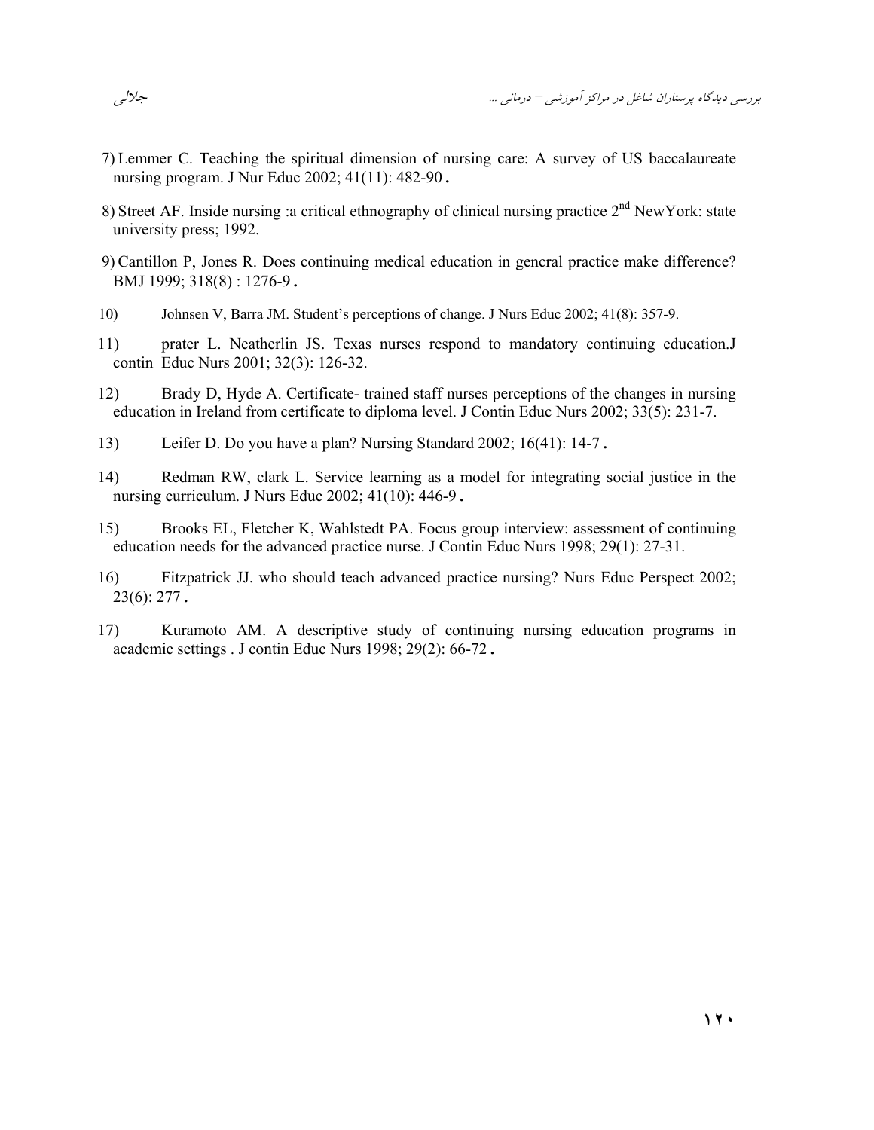- 7) Lemmer C. Teaching the spiritual dimension of nursing care: A survey of US baccalaureate nursing program. J Nur Educ 2002; 41(11): 482-90.
- 8) Street AF. Inside nursing a critical ethnography of clinical nursing practice 2<sup>nd</sup> New York: state university press; 1992.
- 9) Cantillon P, Jones R. Does continuing medical education in general practice make difference? BMJ 1999; 318(8): 1276-9.
- Johnsen V, Barra JM. Student's perceptions of change. J Nurs Educ 2002; 41(8): 357-9.  $10)$
- prater L. Neatherlin JS. Texas nurses respond to mandatory continuing education.J 11) contin Educ Nurs 2001; 32(3): 126-32.
- Brady D, Hyde A. Certificate- trained staff nurses perceptions of the changes in nursing 12) education in Ireland from certificate to diploma level. J Contin Educ Nurs 2002; 33(5): 231-7.
- Leifer D. Do you have a plan? Nursing Standard 2002; 16(41): 14-7.  $13)$
- $(14)$ Redman RW, clark L. Service learning as a model for integrating social justice in the nursing curriculum. J Nurs Educ 2002; 41(10): 446-9.
- Brooks EL, Fletcher K, Wahlstedt PA. Focus group interview: assessment of continuing  $15)$ education needs for the advanced practice nurse. J Contin Educ Nurs 1998; 29(1): 27-31.
- Fitzpatrick JJ. who should teach advanced practice nursing? Nurs Educ Perspect 2002; 16)  $23(6)$ : 277.
- Kuramoto AM. A descriptive study of continuing nursing education programs in 17) academic settings . J contin Educ Nurs 1998; 29(2): 66-72.